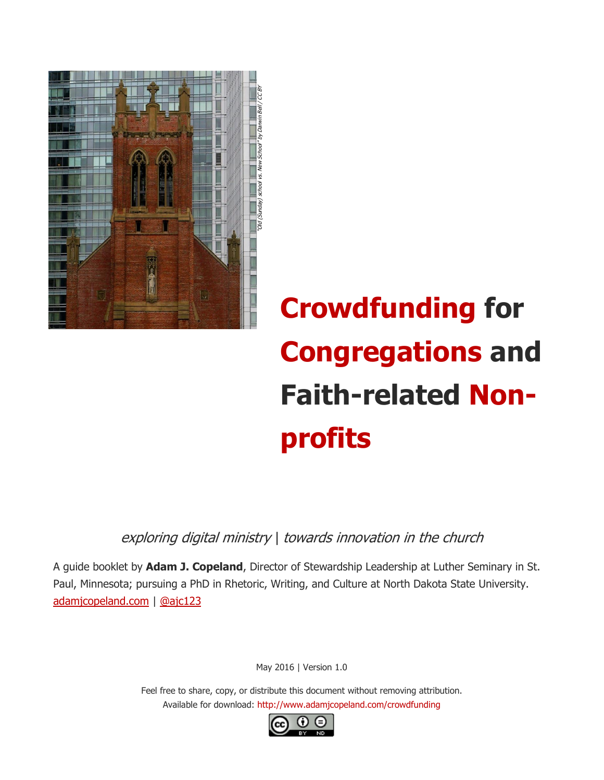

# **Crowdfunding for Congregations and Faith-related Nonprofits**

exploring digital ministry | towards innovation in the church

A guide booklet by **Adam J. Copeland**, Director of Stewardship Leadership at Luther Seminary in St. Paul, Minnesota; pursuing a PhD in Rhetoric, Writing, and Culture at North Dakota State University. [adamjcopeland.com](http://adamjcopeland.com/) | [@ajc123](http://twitter.com/ajc123)

May 2016 | Version 1.0

Feel free to share, copy, or distribute this document without removing attribution. Available for download: http://www.adamjcopeland.com/crowdfunding

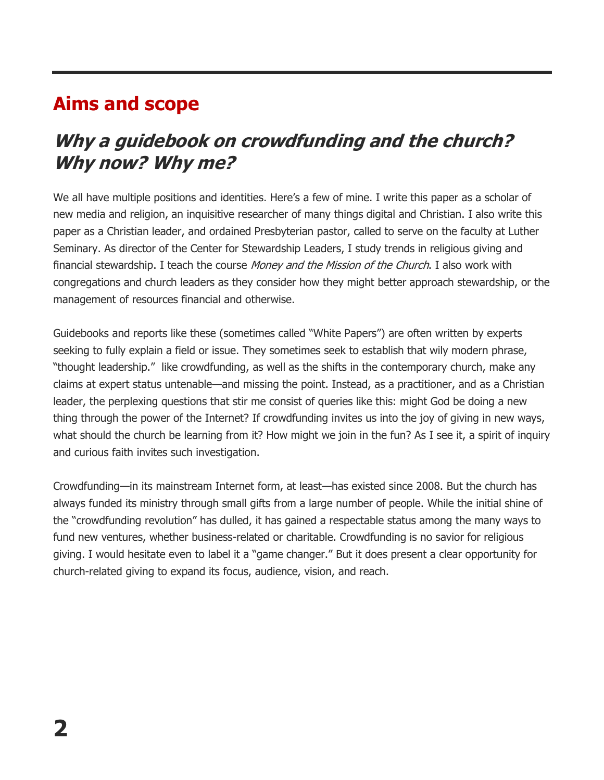#### **Aims and scope**

#### **Why a guidebook on crowdfunding and the church? Why now? Why me?**

We all have multiple positions and identities. Here's a few of mine. I write this paper as a scholar of new media and religion, an inquisitive researcher of many things digital and Christian. I also write this paper as a Christian leader, and ordained Presbyterian pastor, called to serve on the faculty at Luther Seminary. As director of the Center for Stewardship Leaders, I study trends in religious giving and financial stewardship. I teach the course Money and the Mission of the Church. I also work with congregations and church leaders as they consider how they might better approach stewardship, or the management of resources financial and otherwise.

Guidebooks and reports like these (sometimes called "White Papers") are often written by experts seeking to fully explain a field or issue. They sometimes seek to establish that wily modern phrase, "thought leadership." like crowdfunding, as well as the shifts in the contemporary church, make any claims at expert status untenable—and missing the point. Instead, as a practitioner, and as a Christian leader, the perplexing questions that stir me consist of queries like this: might God be doing a new thing through the power of the Internet? If crowdfunding invites us into the joy of giving in new ways, what should the church be learning from it? How might we join in the fun? As I see it, a spirit of inquiry and curious faith invites such investigation.

Crowdfunding—in its mainstream Internet form, at least—has existed since 2008. But the church has always funded its ministry through small gifts from a large number of people. While the initial shine of the "crowdfunding revolution" has dulled, it has gained a respectable status among the many ways to fund new ventures, whether business-related or charitable. Crowdfunding is no savior for religious giving. I would hesitate even to label it a "game changer." But it does present a clear opportunity for church-related giving to expand its focus, audience, vision, and reach.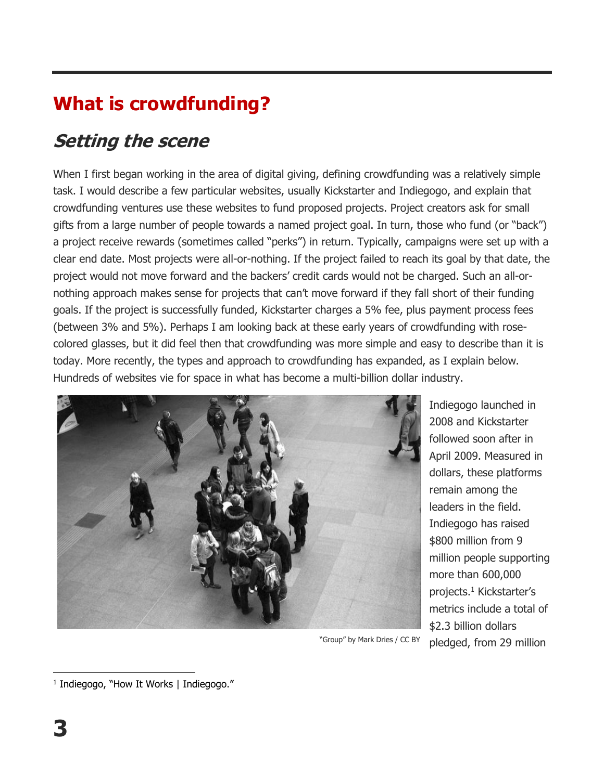### **What is crowdfunding?**

### **Setting the scene**

When I first began working in the area of digital giving, defining crowdfunding was a relatively simple task. I would describe a few particular websites, usually Kickstarter and Indiegogo, and explain that crowdfunding ventures use these websites to fund proposed projects. Project creators ask for small gifts from a large number of people towards a named project goal. In turn, those who fund (or "back") a project receive rewards (sometimes called "perks") in return. Typically, campaigns were set up with a clear end date. Most projects were all-or-nothing. If the project failed to reach its goal by that date, the project would not move forward and the backers' credit cards would not be charged. Such an all-ornothing approach makes sense for projects that can't move forward if they fall short of their funding goals. If the project is successfully funded, Kickstarter charges a 5% fee, plus payment process fees (between 3% and 5%). Perhaps I am looking back at these early years of crowdfunding with rosecolored glasses, but it did feel then that crowdfunding was more simple and easy to describe than it is today. More recently, the types and approach to crowdfunding has expanded, as I explain below. Hundreds of websites vie for space in what has become a multi-billion dollar industry.



Indiegogo launched in 2008 and Kickstarter followed soon after in April 2009. Measured in dollars, these platforms remain among the leaders in the field. Indiegogo has raised \$800 million from 9 million people supporting more than 600,000 projects. <sup>1</sup> Kickstarter's metrics include a total of \$2.3 billion dollars pledged, from 29 million

<sup>&</sup>quot;Group" by Mark Dries / CC BY

 $\overline{a}$ 1 Indiegogo, "How It Works | Indiegogo."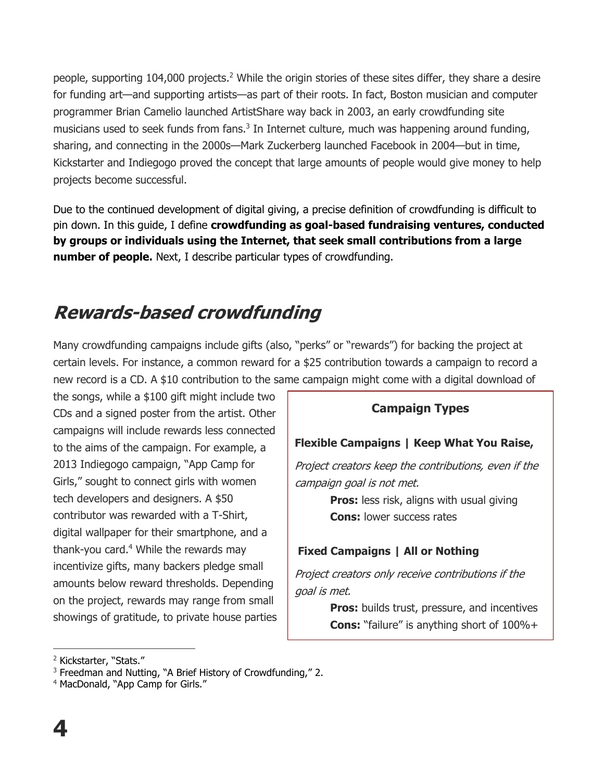people, supporting 104,000 projects.<sup>2</sup> While the origin stories of these sites differ, they share a desire for funding art—and supporting artists—as part of their roots. In fact, Boston musician and computer programmer Brian Camelio launched ArtistShare way back in 2003, an early crowdfunding site musicians used to seek funds from fans.<sup>3</sup> In Internet culture, much was happening around funding, sharing, and connecting in the 2000s—Mark Zuckerberg launched Facebook in 2004—but in time, Kickstarter and Indiegogo proved the concept that large amounts of people would give money to help projects become successful.

Due to the continued development of digital giving, a precise definition of crowdfunding is difficult to pin down. In this guide, I define **crowdfunding as goal-based fundraising ventures, conducted by groups or individuals using the Internet, that seek small contributions from a large number of people.** Next, I describe particular types of crowdfunding.

### **Rewards-based crowdfunding**

Many crowdfunding campaigns include gifts (also, "perks" or "rewards") for backing the project at certain levels. For instance, a common reward for a \$25 contribution towards a campaign to record a new record is a CD. A \$10 contribution to the same campaign might come with a digital download of

the songs, while a \$100 gift might include two CDs and a signed poster from the artist. Other campaigns will include rewards less connected to the aims of the campaign. For example, a 2013 Indiegogo campaign, "App Camp for Girls," sought to connect girls with women tech developers and designers. A \$50 contributor was rewarded with a T-Shirt, digital wallpaper for their smartphone, and a thank-you card.<sup>4</sup> While the rewards may incentivize gifts, many backers pledge small amounts below reward thresholds. Depending on the project, rewards may range from small showings of gratitude, to private house parties

#### **Campaign Types**

#### **Flexible Campaigns | Keep What You Raise,**

Project creators keep the contributions, even if the campaign goal is not met.

> **Pros:** less risk, aligns with usual giving **Cons:** lower success rates

#### **Fixed Campaigns | All or Nothing**

Project creators only receive contributions if the goal is met.

> **Pros:** builds trust, pressure, and incentives **Cons:** "failure" is anything short of 100%+

<sup>2</sup> Kickstarter, "Stats."

<sup>&</sup>lt;sup>3</sup> Freedman and Nutting, "A Brief History of Crowdfunding," 2.

<sup>4</sup> MacDonald, "App Camp for Girls."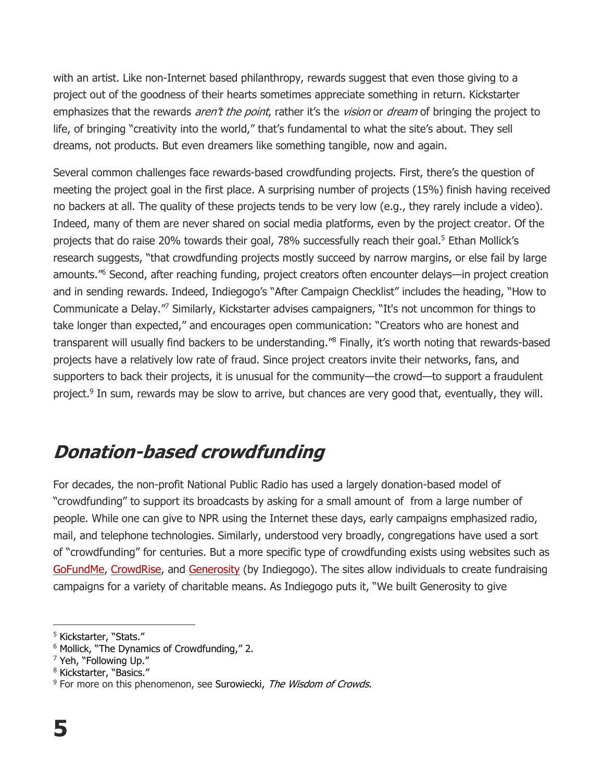with an artist. Like non-Internet based philanthropy, rewards suggest that even those giving to a project out of the goodness of their hearts sometimes appreciate something in return. Kickstarter emphasizes that the rewards *aren't the point*, rather it's the *vision* or *dream* of bringing the project to life, of bringing "creativity into the world," that's fundamental to what the site's about. They sell dreams, not products. But even dreamers like something tangible, now and again.

Several common challenges face rewards-based crowdfunding projects. First, there's the question of meeting the project goal in the first place. A surprising number of projects (15%) finish having received no backers at all. The quality of these projects tends to be very low (e.g., they rarely include a video). Indeed, many of them are never shared on social media platforms, even by the project creator. Of the projects that do raise 20% towards their goal, 78% successfully reach their goal.<sup>5</sup> Ethan Mollick's research suggests, "that crowdfunding projects mostly succeed by narrow margins, or else fail by large amounts."<sup>6</sup> Second, after reaching funding, project creators often encounter delays—in project creation and in sending rewards. Indeed, Indiegogo's "After Campaign Checklist" includes the heading, "How to Communicate a Delay."<sup>7</sup> Similarly, Kickstarter advises campaigners, "It's not uncommon for things to take longer than expected," and encourages open communication: "Creators who are honest and transparent will usually find backers to be understanding."<sup>8</sup> Finally, it's worth noting that rewards-based projects have a relatively low rate of fraud. Since project creators invite their networks, fans, and supporters to back their projects, it is unusual for the community—the crowd—to support a fraudulent project.<sup>9</sup> In sum, rewards may be slow to arrive, but chances are very good that, eventually, they will.

#### **Donation-based crowdfunding**

For decades, the non-profit National Public Radio has used a largely donation-based model of "crowdfunding" to support its broadcasts by asking for a small amount of from a large number of people. While one can give to NPR using the Internet these days, early campaigns emphasized radio, mail, and telephone technologies. Similarly, understood very broadly, congregations have used a sort of "crowdfunding" for centuries. But a more specific type of crowdfunding exists using websites such as [GoFundMe,](http://gofundme.com/) [CrowdRise,](https://www.crowdrise.com/) and [Generosity](https://www.generosity.com/) (by Indiegogo). The sites allow individuals to create fundraising campaigns for a variety of charitable means. As Indiegogo puts it, "We built Generosity to give

<sup>5</sup> Kickstarter, "Stats."

<sup>&</sup>lt;sup>6</sup> Mollick, "The Dynamics of Crowdfunding," 2.

<sup>7</sup> Yeh, "Following Up."

<sup>8</sup> Kickstarter, "Basics."

 $9$  For more on this phenomenon, see Surowiecki, The Wisdom of Crowds.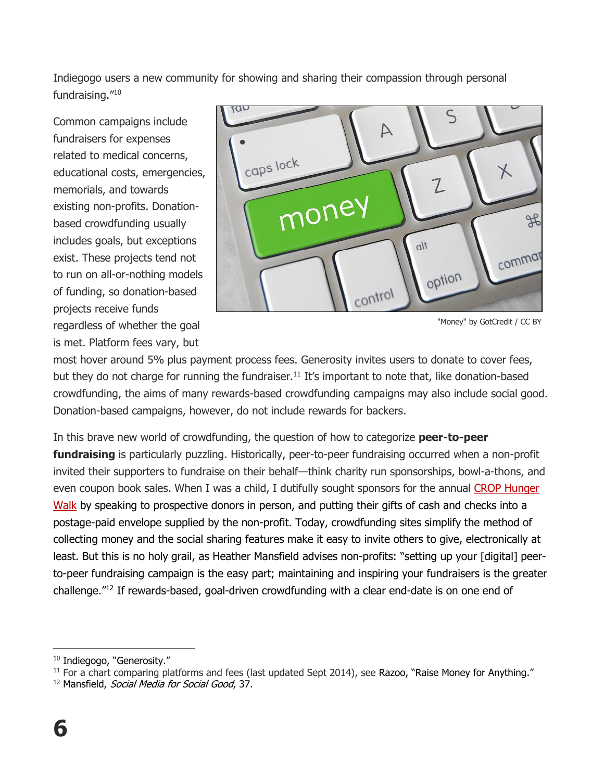Indiegogo users a new community for showing and sharing their compassion through personal fundraising." 10

Common campaigns include fundraisers for expenses related to medical concerns, educational costs, emergencies, memorials, and towards existing non-profits. Donationbased crowdfunding usually includes goals, but exceptions exist. These projects tend not to run on all-or-nothing models of funding, so donation-based projects receive funds regardless of whether the goal is met. Platform fees vary, but



"Money" by GotCredit / CC BY

most hover around 5% plus payment process fees. Generosity invites users to donate to cover fees, but they do not charge for running the fundraiser.<sup>11</sup> It's important to note that, like donation-based crowdfunding, the aims of many rewards-based crowdfunding campaigns may also include social good. Donation-based campaigns, however, do not include rewards for backers.

In this brave new world of crowdfunding, the question of how to categorize **peer-to-peer fundraising** is particularly puzzling. Historically, peer-to-peer fundraising occurred when a non-profit invited their supporters to fundraise on their behalf—think charity run sponsorships, bowl-a-thons, and even coupon book sales. When I was a child, I dutifully sought sponsors for the annual CROP [Hunger](http://www.crophungerwalk.org/)  [Walk](http://www.crophungerwalk.org/) by speaking to prospective donors in person, and putting their gifts of cash and checks into a postage-paid envelope supplied by the non-profit. Today, crowdfunding sites simplify the method of collecting money and the social sharing features make it easy to invite others to give, electronically at least. But this is no holy grail, as Heather Mansfield advises non-profits: "setting up your [digital] peerto-peer fundraising campaign is the easy part; maintaining and inspiring your fundraisers is the greater challenge."<sup>12</sup> If rewards-based, goal-driven crowdfunding with a clear end-date is on one end of

<sup>&</sup>lt;sup>10</sup> Indiegogo, "Generosity."

 $11$  For a chart comparing platforms and fees (last updated Sept 2014), see Razoo, "Raise Money for Anything."

<sup>&</sup>lt;sup>12</sup> Mansfield, *Social Media for Social Good*, 37.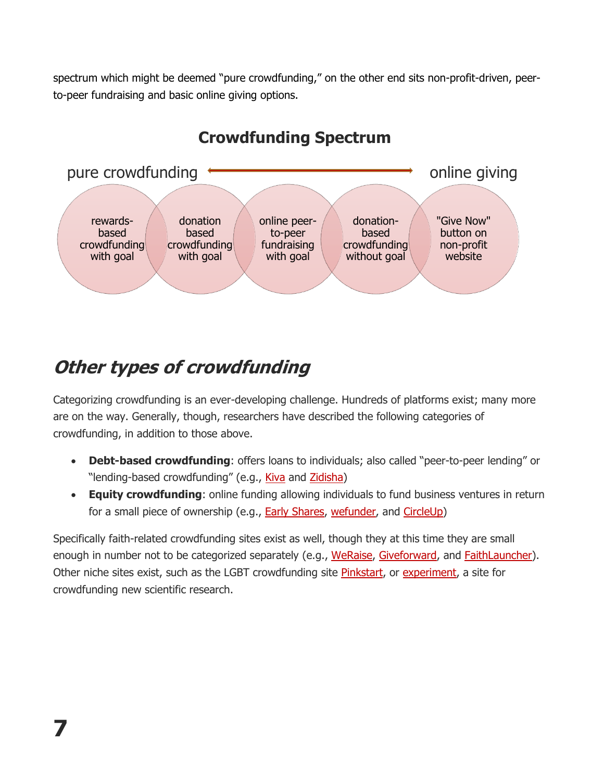spectrum which might be deemed "pure crowdfunding," on the other end sits non-profit-driven, peerto-peer fundraising and basic online giving options.



#### **Crowdfunding Spectrum**

### **Other types of crowdfunding**

Categorizing crowdfunding is an ever-developing challenge. Hundreds of platforms exist; many more are on the way. Generally, though, researchers have described the following categories of crowdfunding, in addition to those above.

- **Debt-based crowdfunding**: offers loans to individuals; also called "peer-to-peer lending" or "lending-based crowdfunding" (e.g., [Kiva](http://www.kiva.org/) and [Zidisha\)](https://www.zidisha.org/)
- **Equity crowdfunding**: online funding allowing individuals to fund business ventures in return for a small piece of ownership (e.g., **[Early Shares,](https://www.earlyshares.com/) [wefunder,](https://wefunder.com/) and [CircleUp\)](https://circleup.com/)**

Specifically faith-related crowdfunding sites exist as well, though they at this time they are small enough in number not to be categorized separately (e.g., [WeRaise,](https://weraise.wheatridge.org/en) [Giveforward,](http://www.giveforward.com/p/crowdfunding/christian-crowdfunding) and [FaithLauncher\)](http://www.faithlauncher.com/). Other niche sites exist, such as the LGBT crowdfunding site [Pinkstart,](http://we.pinkstart.me/#about) or [experiment,](https://experiment.com/) a site for crowdfunding new scientific research.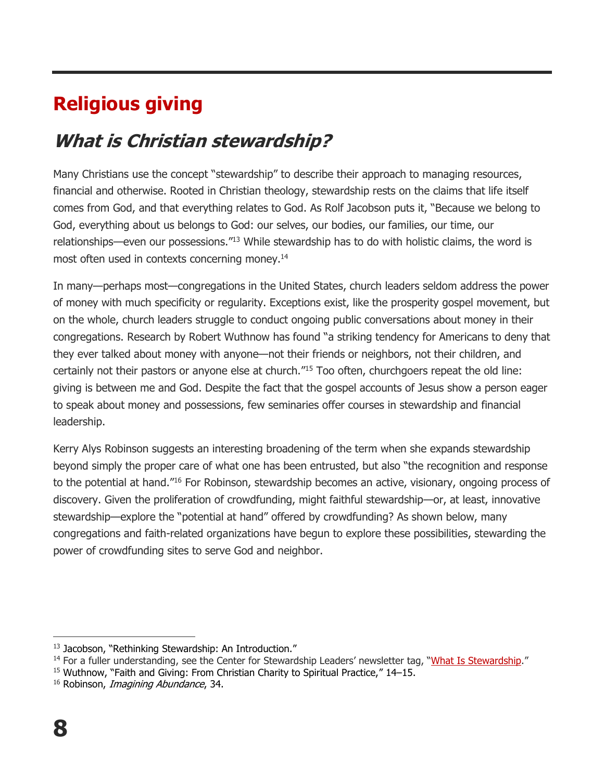# **Religious giving**

### **What is Christian stewardship?**

Many Christians use the concept "stewardship" to describe their approach to managing resources, financial and otherwise. Rooted in Christian theology, stewardship rests on the claims that life itself comes from God, and that everything relates to God. As Rolf Jacobson puts it, "Because we belong to God, everything about us belongs to God: our selves, our bodies, our families, our time, our relationships—even our possessions."<sup>13</sup> While stewardship has to do with holistic claims, the word is most often used in contexts concerning money.<sup>14</sup>

In many—perhaps most—congregations in the United States, church leaders seldom address the power of money with much specificity or regularity. Exceptions exist, like the prosperity gospel movement, but on the whole, church leaders struggle to conduct ongoing public conversations about money in their congregations. Research by Robert Wuthnow has found "a striking tendency for Americans to deny that they ever talked about money with anyone—not their friends or neighbors, not their children, and certainly not their pastors or anyone else at church."<sup>15</sup> Too often, churchgoers repeat the old line: giving is between me and God. Despite the fact that the gospel accounts of Jesus show a person eager to speak about money and possessions, few seminaries offer courses in stewardship and financial leadership.

Kerry Alys Robinson suggests an interesting broadening of the term when she expands stewardship beyond simply the proper care of what one has been entrusted, but also "the recognition and response to the potential at hand."<sup>16</sup> For Robinson, stewardship becomes an active, visionary, ongoing process of discovery. Given the proliferation of crowdfunding, might faithful stewardship—or, at least, innovative stewardship—explore the "potential at hand" offered by crowdfunding? As shown below, many congregations and faith-related organizations have begun to explore these possibilities, stewarding the power of crowdfunding sites to serve God and neighbor.

<sup>&</sup>lt;sup>13</sup> Jacobson, "Rethinking Stewardship: An Introduction."

<sup>&</sup>lt;sup>14</sup> For a fuller understanding, see the Center for Stewardship Leaders' newsletter tag, "[What Is Stewardship](http://www.luthersem.edu/stewardship/default.aspx?m=6667&tag=What%20Is%20Stewardship?)."

<sup>&</sup>lt;sup>15</sup> Wuthnow, "Faith and Giving: From Christian Charity to Spiritual Practice," 14–15.

<sup>&</sup>lt;sup>16</sup> Robinson, *Imagining Abundance*, 34.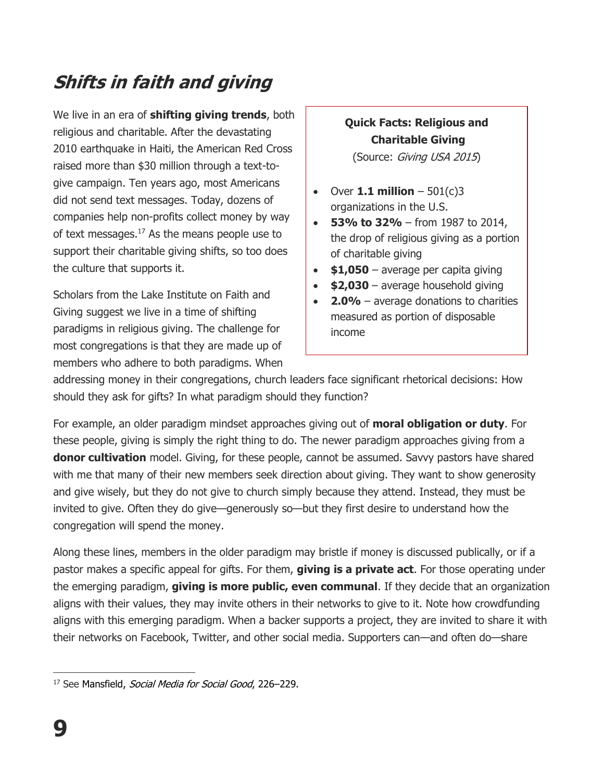# **Shifts in faith and giving**

We live in an era of **shifting giving trends**, both religious and charitable. After the devastating 2010 earthquake in Haiti, the American Red Cross raised more than \$30 million through a text-togive campaign. Ten years ago, most Americans did not send text messages. Today, dozens of companies help non-profits collect money by way of text messages.<sup>17</sup> As the means people use to support their charitable giving shifts, so too does the culture that supports it.

Scholars from the Lake Institute on Faith and Giving suggest we live in a time of shifting paradigms in religious giving. The challenge for most congregations is that they are made up of members who adhere to both paradigms. When

#### **Quick Facts: Religious and Charitable Giving**

(Source: Giving USA 2015)

- Over **1.1 million**  $-501(c)3$ organizations in the U.S.
- **53% to 32%** from 1987 to 2014, the drop of religious giving as a portion of charitable giving
- **\$1,050** average per capita giving
- **\$2,030** average household giving
- **2.0%** average donations to charities measured as portion of disposable income

addressing money in their congregations, church leaders face significant rhetorical decisions: How should they ask for gifts? In what paradigm should they function?

For example, an older paradigm mindset approaches giving out of **moral obligation or duty**. For these people, giving is simply the right thing to do. The newer paradigm approaches giving from a **donor cultivation** model. Giving, for these people, cannot be assumed. Savvy pastors have shared with me that many of their new members seek direction about giving. They want to show generosity and give wisely, but they do not give to church simply because they attend. Instead, they must be invited to give. Often they do give—generously so—but they first desire to understand how the congregation will spend the money.

Along these lines, members in the older paradigm may bristle if money is discussed publically, or if a pastor makes a specific appeal for gifts. For them, **giving is a private act**. For those operating under the emerging paradigm, **giving is more public, even communal**. If they decide that an organization aligns with their values, they may invite others in their networks to give to it. Note how crowdfunding aligns with this emerging paradigm. When a backer supports a project, they are invited to share it with their networks on Facebook, Twitter, and other social media. Supporters can—and often do—share

 $\overline{a}$ <sup>17</sup> See Mansfield, *Social Media for Social Good*, 226-229.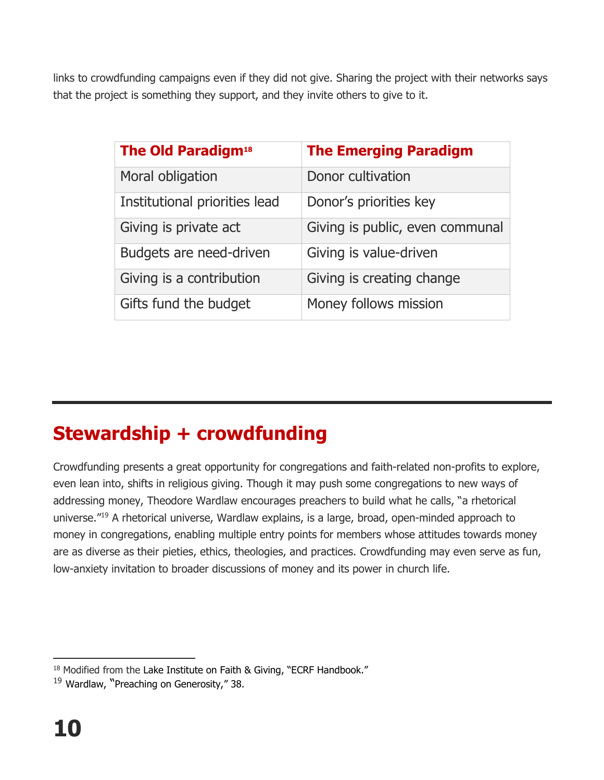links to crowdfunding campaigns even if they did not give. Sharing the project with their networks says that the project is something they support, and they invite others to give to it.

| <b>The Old Paradigm<sup>18</sup></b> | <b>The Emerging Paradigm</b>    |
|--------------------------------------|---------------------------------|
| Moral obligation                     | Donor cultivation               |
| Institutional priorities lead        | Donor's priorities key          |
| Giving is private act                | Giving is public, even communal |
| Budgets are need-driven              | Giving is value-driven          |
| Giving is a contribution             | Giving is creating change       |
| Gifts fund the budget                | Money follows mission           |

# **Stewardship + crowdfunding**

Crowdfunding presents a great opportunity for congregations and faith-related non-profits to explore, even lean into, shifts in religious giving. Though it may push some congregations to new ways of addressing money, Theodore Wardlaw encourages preachers to build what he calls, "a rhetorical universe."<sup>19</sup> A rhetorical universe, Wardlaw explains, is a large, broad, open-minded approach to money in congregations, enabling multiple entry points for members whose attitudes towards money are as diverse as their pieties, ethics, theologies, and practices. Crowdfunding may even serve as fun, low-anxiety invitation to broader discussions of money and its power in church life.

 $\overline{a}$  $18$  Modified from the Lake Institute on Faith & Giving, "ECRF Handbook."

<sup>&</sup>lt;sup>19</sup> Wardlaw, "Preaching on Generosity," 38.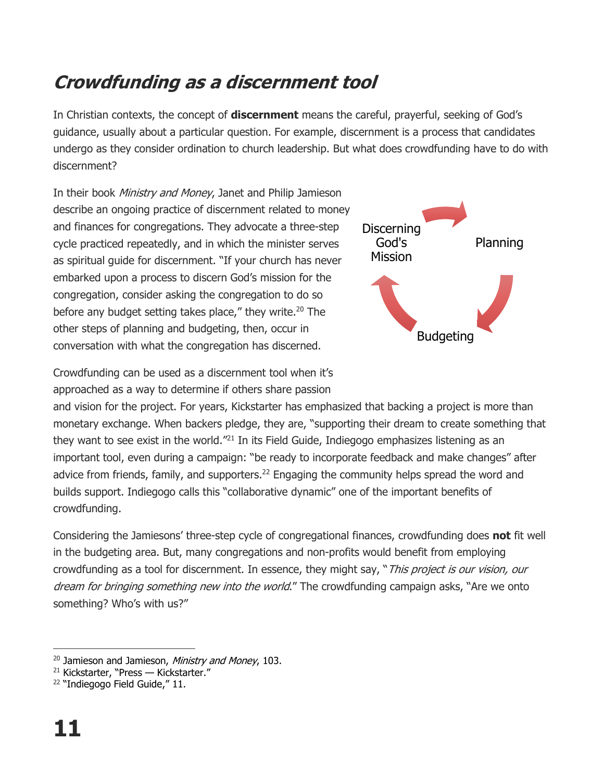### **Crowdfunding as a discernment tool**

In Christian contexts, the concept of **discernment** means the careful, prayerful, seeking of God's guidance, usually about a particular question. For example, discernment is a process that candidates undergo as they consider ordination to church leadership. But what does crowdfunding have to do with discernment?

In their book *Ministry and Money*, Janet and Philip Jamieson describe an ongoing practice of discernment related to money and finances for congregations. They advocate a three-step cycle practiced repeatedly, and in which the minister serves as spiritual guide for discernment. "If your church has never embarked upon a process to discern God's mission for the congregation, consider asking the congregation to do so before any budget setting takes place," they write.<sup>20</sup> The other steps of planning and budgeting, then, occur in conversation with what the congregation has discerned.



Crowdfunding can be used as a discernment tool when it's approached as a way to determine if others share passion

and vision for the project. For years, Kickstarter has emphasized that backing a project is more than monetary exchange. When backers pledge, they are, "supporting their dream to create something that they want to see exist in the world.<sup>"21</sup> In its Field Guide, Indiegogo emphasizes listening as an important tool, even during a campaign: "be ready to incorporate feedback and make changes" after advice from friends, family, and supporters.<sup>22</sup> Engaging the community helps spread the word and builds support. Indiegogo calls this "collaborative dynamic" one of the important benefits of crowdfunding.

Considering the Jamiesons' three-step cycle of congregational finances, crowdfunding does **not** fit well in the budgeting area. But, many congregations and non-profits would benefit from employing crowdfunding as a tool for discernment. In essence, they might say, "This project is our vision, our dream for bringing something new into the world." The crowdfunding campaign asks, "Are we onto something? Who's with us?"

 $\overline{a}$ <sup>20</sup> Jamieson and Jamieson, Ministry and Money, 103.

<sup>&</sup>lt;sup>21</sup> Kickstarter, "Press — Kickstarter."

<sup>&</sup>lt;sup>22</sup> "Indiegogo Field Guide," 11.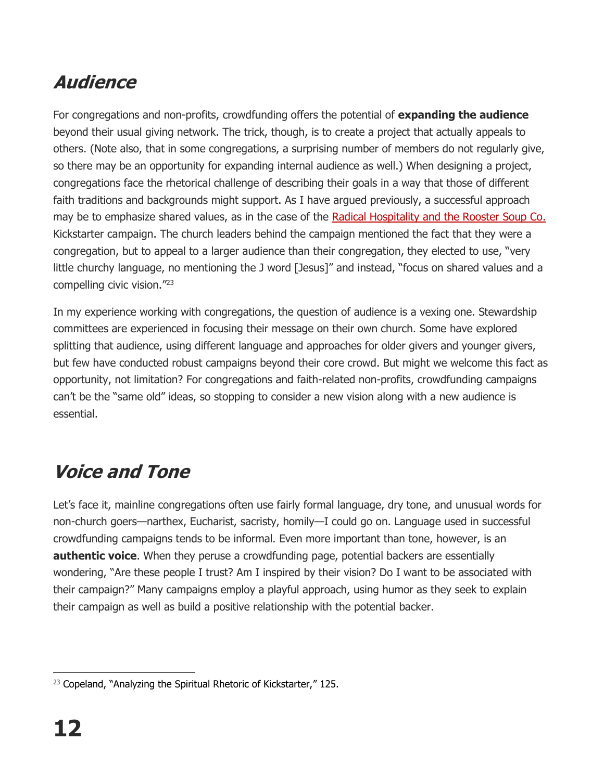### **Audience**

For congregations and non-profits, crowdfunding offers the potential of **expanding the audience** beyond their usual giving network. The trick, though, is to create a project that actually appeals to others. (Note also, that in some congregations, a surprising number of members do not regularly give, so there may be an opportunity for expanding internal audience as well.) When designing a project, congregations face the rhetorical challenge of describing their goals in a way that those of different faith traditions and backgrounds might support. As I have argued previously, a successful approach may be to emphasize shared values, as in the case of the [Radical Hospitality and the Rooster Soup Co.](https://www.kickstarter.com/projects/3806479/radical-hospitalty-and-the-rooster-soup-company) Kickstarter campaign. The church leaders behind the campaign mentioned the fact that they were a congregation, but to appeal to a larger audience than their congregation, they elected to use, "very little churchy language, no mentioning the J word [Jesus]" and instead, "focus on shared values and a compelling civic vision." 23

In my experience working with congregations, the question of audience is a vexing one. Stewardship committees are experienced in focusing their message on their own church. Some have explored splitting that audience, using different language and approaches for older givers and younger givers, but few have conducted robust campaigns beyond their core crowd. But might we welcome this fact as opportunity, not limitation? For congregations and faith-related non-profits, crowdfunding campaigns can't be the "same old" ideas, so stopping to consider a new vision along with a new audience is essential.

### **Voice and Tone**

Let's face it, mainline congregations often use fairly formal language, dry tone, and unusual words for non-church goers—narthex, Eucharist, sacristy, homily—I could go on. Language used in successful crowdfunding campaigns tends to be informal. Even more important than tone, however, is an **authentic voice**. When they peruse a crowdfunding page, potential backers are essentially wondering, "Are these people I trust? Am I inspired by their vision? Do I want to be associated with their campaign?" Many campaigns employ a playful approach, using humor as they seek to explain their campaign as well as build a positive relationship with the potential backer.

 $\overline{a}$  $23$  Copeland, "Analyzing the Spiritual Rhetoric of Kickstarter," 125.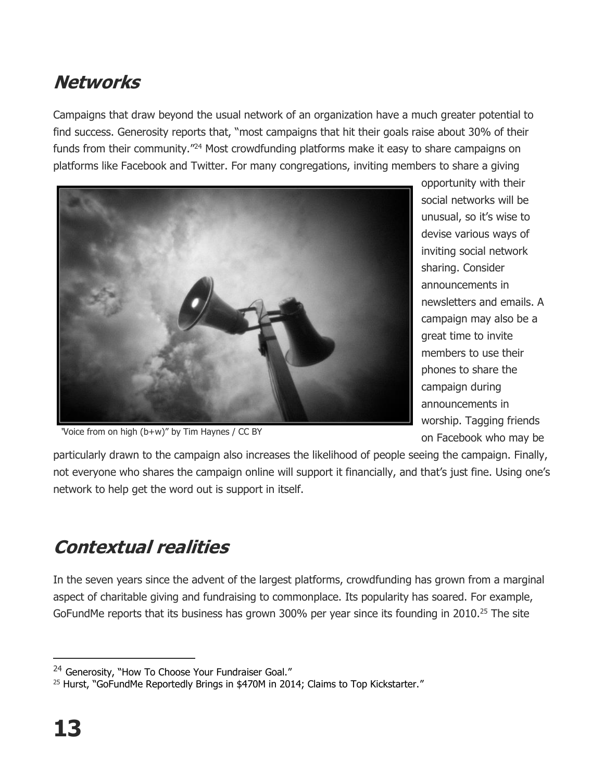#### **Networks**

Campaigns that draw beyond the usual network of an organization have a much greater potential to find success. Generosity reports that, "most campaigns that hit their goals raise about 30% of their funds from their community.<sup>"24</sup> Most crowdfunding platforms make it easy to share campaigns on platforms like Facebook and Twitter. For many congregations, inviting members to share a giving



opportunity with their social networks will be unusual, so it's wise to devise various ways of inviting social network sharing. Consider announcements in newsletters and emails. A campaign may also be a great time to invite members to use their phones to share the campaign during announcements in worship. Tagging friends on Facebook who may be

"Voice from on high (b+w)" by Tim Haynes / CC BY

particularly drawn to the campaign also increases the likelihood of people seeing the campaign. Finally, not everyone who shares the campaign online will support it financially, and that's just fine. Using one's network to help get the word out is support in itself.

### **Contextual realities**

In the seven years since the advent of the largest platforms, crowdfunding has grown from a marginal aspect of charitable giving and fundraising to commonplace. Its popularity has soared. For example, GoFundMe reports that its business has grown 300% per year since its founding in 2010.<sup>25</sup> The site

<sup>&</sup>lt;sup>24</sup> Generosity, "How To Choose Your Fundraiser Goal."

 $25$  Hurst, "GoFundMe Reportedly Brings in \$470M in 2014; Claims to Top Kickstarter."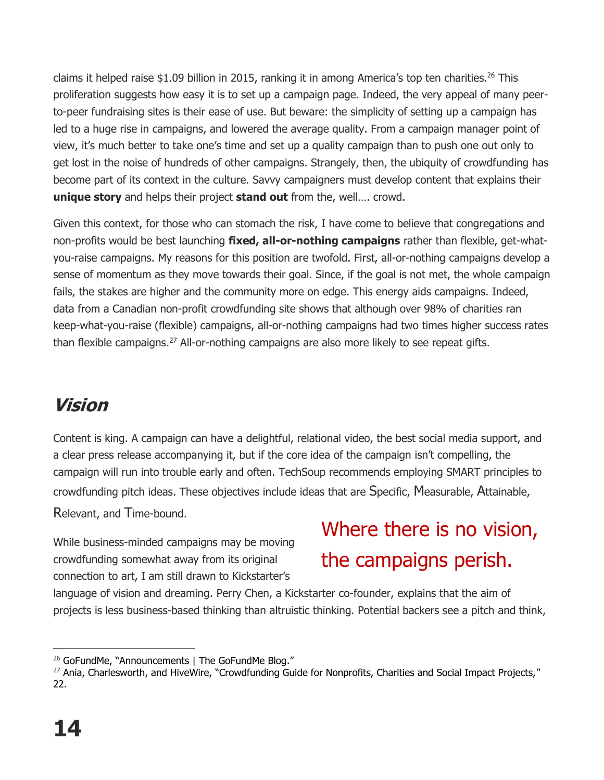claims it helped raise \$1.09 billion in 2015, ranking it in among America's top ten charities.<sup>26</sup> This proliferation suggests how easy it is to set up a campaign page. Indeed, the very appeal of many peerto-peer fundraising sites is their ease of use. But beware: the simplicity of setting up a campaign has led to a huge rise in campaigns, and lowered the average quality. From a campaign manager point of view, it's much better to take one's time and set up a quality campaign than to push one out only to get lost in the noise of hundreds of other campaigns. Strangely, then, the ubiquity of crowdfunding has become part of its context in the culture. Savvy campaigners must develop content that explains their **unique story** and helps their project **stand out** from the, well…. crowd.

Given this context, for those who can stomach the risk, I have come to believe that congregations and non-profits would be best launching **fixed, all-or-nothing campaigns** rather than flexible, get-whatyou-raise campaigns. My reasons for this position are twofold. First, all-or-nothing campaigns develop a sense of momentum as they move towards their goal. Since, if the goal is not met, the whole campaign fails, the stakes are higher and the community more on edge. This energy aids campaigns. Indeed, data from a Canadian non-profit crowdfunding site shows that although over 98% of charities ran keep-what-you-raise (flexible) campaigns, all-or-nothing campaigns had two times higher success rates than flexible campaigns.<sup>27</sup> All-or-nothing campaigns are also more likely to see repeat gifts.

#### **Vision**

Content is king. A campaign can have a delightful, relational video, the best social media support, and a clear press release accompanying it, but if the core idea of the campaign isn't compelling, the campaign will run into trouble early and often. TechSoup recommends employing SMART principles to crowdfunding pitch ideas. These objectives include ideas that are Specific, Measurable, Attainable, Relevant, and Time-bound.

While business-minded campaigns may be moving crowdfunding somewhat away from its original connection to art, I am still drawn to Kickstarter's

# Where there is no vision, the campaigns perish.

language of vision and dreaming. Perry Chen, a Kickstarter co-founder, explains that the aim of projects is less business-based thinking than altruistic thinking. Potential backers see a pitch and think,

 $\overline{a}$ <sup>26</sup> GoFundMe, "Announcements | The GoFundMe Blog."

<sup>&</sup>lt;sup>27</sup> Ania, Charlesworth, and HiveWire, "Crowdfunding Guide for Nonprofits, Charities and Social Impact Projects," 22.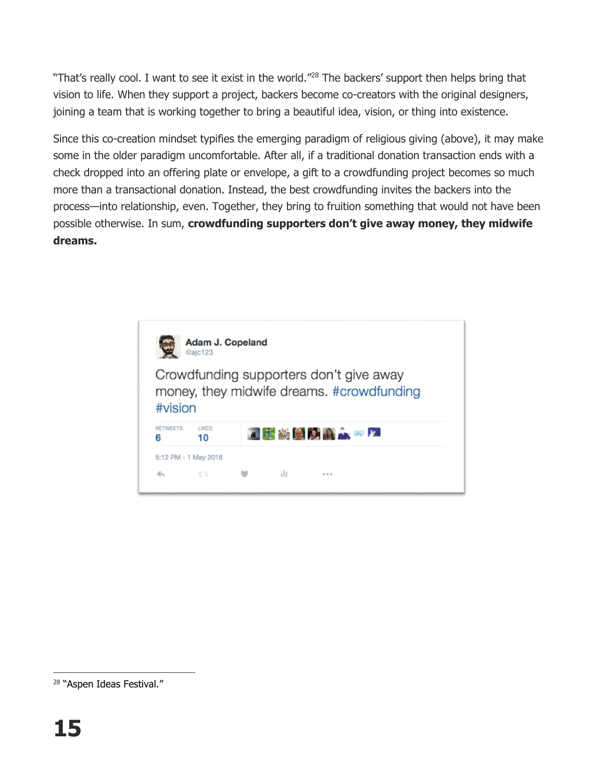"That's really cool. I want to see it exist in the world."<sup>28</sup> The backers' support then helps bring that vision to life. When they support a project, backers become co-creators with the original designers, joining a team that is working together to bring a beautiful idea, vision, or thing into existence.

Since this co-creation mindset typifies the emerging paradigm of religious giving (above), it may make some in the older paradigm uncomfortable. After all, if a traditional donation transaction ends with a check dropped into an offering plate or envelope, a gift to a crowdfunding project becomes so much more than a transactional donation. Instead, the best crowdfunding invites the backers into the process—into relationship, even. Together, they bring to fruition something that would not have been possible otherwise. In sum, **crowdfunding supporters don't give away money, they midwife dreams.** 



<sup>&</sup>lt;sup>28</sup> "Aspen Ideas Festival."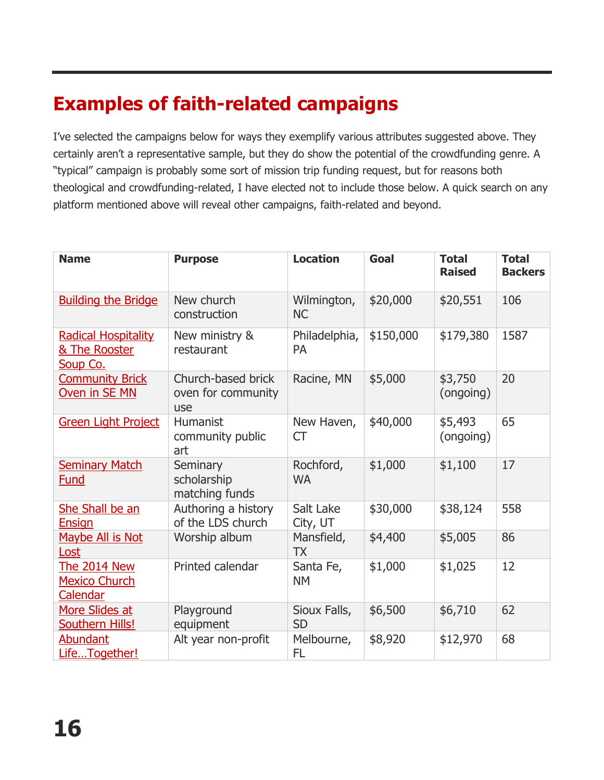### **Examples of faith-related campaigns**

I've selected the campaigns below for ways they exemplify various attributes suggested above. They certainly aren't a representative sample, but they do show the potential of the crowdfunding genre. A "typical" campaign is probably some sort of mission trip funding request, but for reasons both theological and crowdfunding-related, I have elected not to include those below. A quick search on any platform mentioned above will reveal other campaigns, faith-related and beyond.

| <b>Name</b>                                             | <b>Purpose</b>                                  | <b>Location</b>            | Goal      | <b>Total</b><br><b>Raised</b> | <b>Total</b><br><b>Backers</b> |
|---------------------------------------------------------|-------------------------------------------------|----------------------------|-----------|-------------------------------|--------------------------------|
| <b>Building the Bridge</b>                              | New church<br>construction                      | Wilmington,<br><b>NC</b>   | \$20,000  | \$20,551                      | 106                            |
| <b>Radical Hospitality</b><br>& The Rooster<br>Soup Co. | New ministry &<br>restaurant                    | Philadelphia,<br><b>PA</b> | \$150,000 | \$179,380                     | 1587                           |
| <b>Community Brick</b><br>Oven in SE MN                 | Church-based brick<br>oven for community<br>use | Racine, MN                 | \$5,000   | \$3,750<br>(ongoing)          | 20                             |
| <b>Green Light Project</b>                              | Humanist<br>community public<br>art             | New Haven,<br><b>CT</b>    | \$40,000  | \$5,493<br>(ongoing)          | 65                             |
| <b>Seminary Match</b><br><b>Fund</b>                    | Seminary<br>scholarship<br>matching funds       | Rochford,<br><b>WA</b>     | \$1,000   | \$1,100                       | 17                             |
| She Shall be an<br><b>Ensign</b>                        | Authoring a history<br>of the LDS church        | Salt Lake<br>City, UT      | \$30,000  | \$38,124                      | 558                            |
| Maybe All is Not<br>Lost                                | Worship album                                   | Mansfield,<br><b>TX</b>    | \$4,400   | \$5,005                       | 86                             |
| <b>The 2014 New</b><br><b>Mexico Church</b><br>Calendar | Printed calendar                                | Santa Fe,<br><b>NM</b>     | \$1,000   | \$1,025                       | 12                             |
| More Slides at<br><b>Southern Hills!</b>                | Playground<br>equipment                         | Sioux Falls,<br><b>SD</b>  | \$6,500   | \$6,710                       | 62                             |
| <b>Abundant</b><br>LifeTogether!                        | Alt year non-profit                             | Melbourne,<br>FL           | \$8,920   | \$12,970                      | 68                             |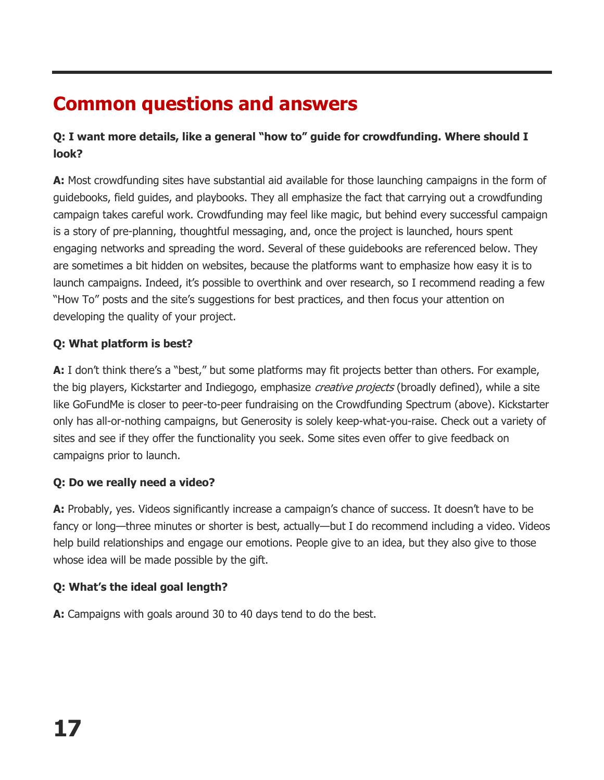#### **Common questions and answers**

#### **Q: I want more details, like a general "how to" guide for crowdfunding. Where should I look?**

**A:** Most crowdfunding sites have substantial aid available for those launching campaigns in the form of guidebooks, field guides, and playbooks. They all emphasize the fact that carrying out a crowdfunding campaign takes careful work. Crowdfunding may feel like magic, but behind every successful campaign is a story of pre-planning, thoughtful messaging, and, once the project is launched, hours spent engaging networks and spreading the word. Several of these guidebooks are referenced below. They are sometimes a bit hidden on websites, because the platforms want to emphasize how easy it is to launch campaigns. Indeed, it's possible to overthink and over research, so I recommend reading a few "How To" posts and the site's suggestions for best practices, and then focus your attention on developing the quality of your project.

#### **Q: What platform is best?**

**A:** I don't think there's a "best," but some platforms may fit projects better than others. For example, the big players, Kickstarter and Indiegogo, emphasize creative projects (broadly defined), while a site like GoFundMe is closer to peer-to-peer fundraising on the Crowdfunding Spectrum (above). Kickstarter only has all-or-nothing campaigns, but Generosity is solely keep-what-you-raise. Check out a variety of sites and see if they offer the functionality you seek. Some sites even offer to give feedback on campaigns prior to launch.

#### **Q: Do we really need a video?**

**A:** Probably, yes. Videos significantly increase a campaign's chance of success. It doesn't have to be fancy or long—three minutes or shorter is best, actually—but I do recommend including a video. Videos help build relationships and engage our emotions. People give to an idea, but they also give to those whose idea will be made possible by the gift.

#### **Q: What's the ideal goal length?**

**A:** Campaigns with goals around 30 to 40 days tend to do the best.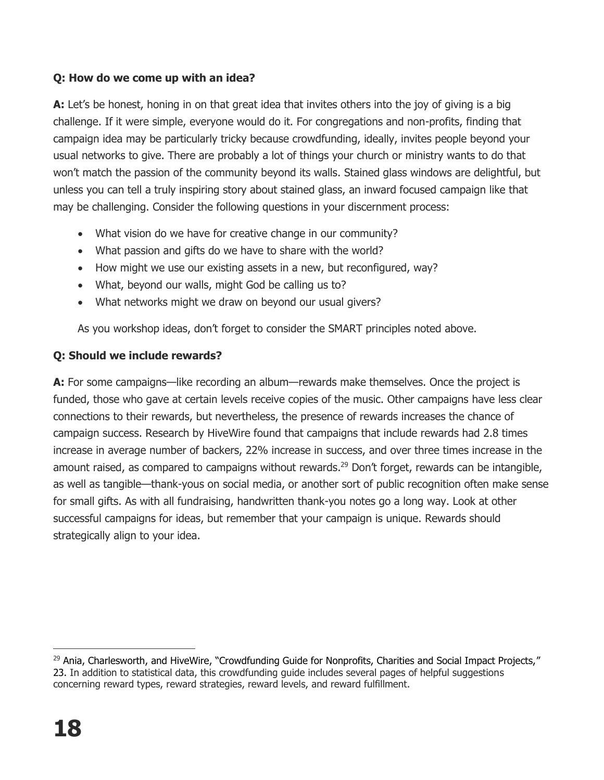#### **Q: How do we come up with an idea?**

**A:** Let's be honest, honing in on that great idea that invites others into the joy of giving is a big challenge. If it were simple, everyone would do it. For congregations and non-profits, finding that campaign idea may be particularly tricky because crowdfunding, ideally, invites people beyond your usual networks to give. There are probably a lot of things your church or ministry wants to do that won't match the passion of the community beyond its walls. Stained glass windows are delightful, but unless you can tell a truly inspiring story about stained glass, an inward focused campaign like that may be challenging. Consider the following questions in your discernment process:

- What vision do we have for creative change in our community?
- What passion and gifts do we have to share with the world?
- How might we use our existing assets in a new, but reconfigured, way?
- What, beyond our walls, might God be calling us to?
- What networks might we draw on beyond our usual givers?

As you workshop ideas, don't forget to consider the SMART principles noted above.

#### **Q: Should we include rewards?**

**A:** For some campaigns—like recording an album—rewards make themselves. Once the project is funded, those who gave at certain levels receive copies of the music. Other campaigns have less clear connections to their rewards, but nevertheless, the presence of rewards increases the chance of campaign success. Research by HiveWire found that campaigns that include rewards had 2.8 times increase in average number of backers, 22% increase in success, and over three times increase in the amount raised, as compared to campaigns without rewards.<sup>29</sup> Don't forget, rewards can be intangible, as well as tangible—thank-yous on social media, or another sort of public recognition often make sense for small gifts. As with all fundraising, handwritten thank-you notes go a long way. Look at other successful campaigns for ideas, but remember that your campaign is unique. Rewards should strategically align to your idea.

 $\overline{a}$ <sup>29</sup> Ania, Charlesworth, and HiveWire, "Crowdfunding Guide for Nonprofits, Charities and Social Impact Projects," 23. In addition to statistical data, this crowdfunding guide includes several pages of helpful suggestions concerning reward types, reward strategies, reward levels, and reward fulfillment.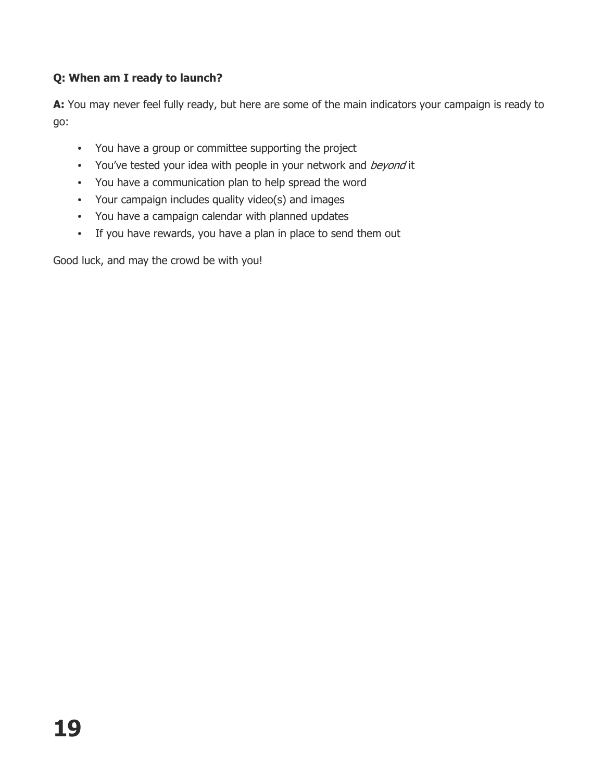#### **Q: When am I ready to launch?**

**A:** You may never feel fully ready, but here are some of the main indicators your campaign is ready to go:

- You have a group or committee supporting the project
- You've tested your idea with people in your network and beyond it
- You have a communication plan to help spread the word
- Your campaign includes quality video(s) and images
- You have a campaign calendar with planned updates
- If you have rewards, you have a plan in place to send them out

Good luck, and may the crowd be with you!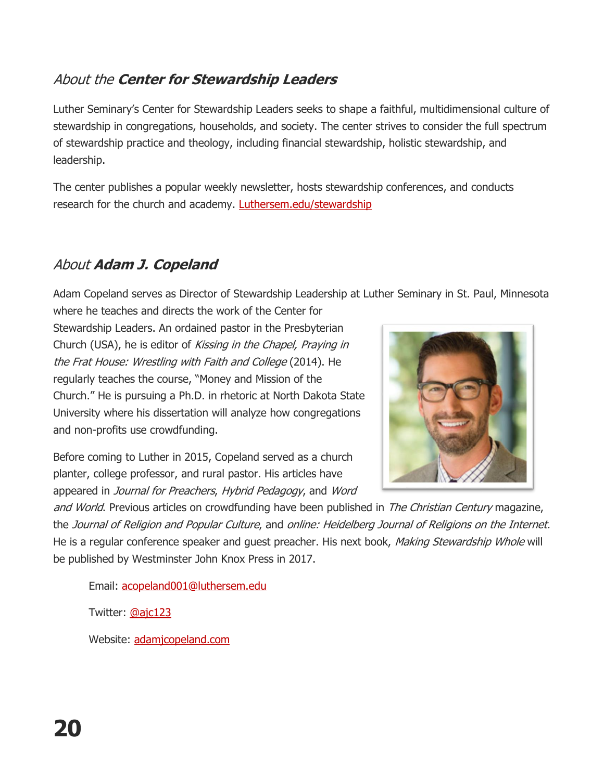#### About the **Center for Stewardship Leaders**

Luther Seminary's Center for Stewardship Leaders seeks to shape a faithful, multidimensional culture of stewardship in congregations, households, and society. The center strives to consider the full spectrum of stewardship practice and theology, including financial stewardship, holistic stewardship, and leadership.

The center publishes a popular weekly newsletter, hosts stewardship conferences, and conducts research for the church and academy. [Luthersem.edu/stewardship](http://www.luthersem.edu/stewardship/)

#### About **Adam J. Copeland**

Adam Copeland serves as Director of Stewardship Leadership at Luther Seminary in St. Paul, Minnesota where he teaches and directs the work of the Center for

Stewardship Leaders. An ordained pastor in the Presbyterian Church (USA), he is editor of Kissing in the Chapel, Praying in the Frat House: Wrestling with Faith and College (2014). He regularly teaches the course, "Money and Mission of the Church." He is pursuing a Ph.D. in rhetoric at North Dakota State University where his dissertation will analyze how congregations and non-profits use crowdfunding.



Before coming to Luther in 2015, Copeland served as a church planter, college professor, and rural pastor. His articles have appeared in Journal for Preachers, Hybrid Pedagogy, and Word

and World. Previous articles on crowdfunding have been published in The Christian Century magazine, the Journal of Religion and Popular Culture, and online: Heidelberg Journal of Religions on the Internet. He is a regular conference speaker and quest preacher. His next book, Making Stewardship Whole will be published by Westminster John Knox Press in 2017.

Email: [acopeland001@luthersem.edu](mailto:acopeland001@luthersem.edu)

Twitter: [@ajc123](http://twitter.com/ajc123)

Website: [adamjcopeland.com](http://adamjcopeland.com/)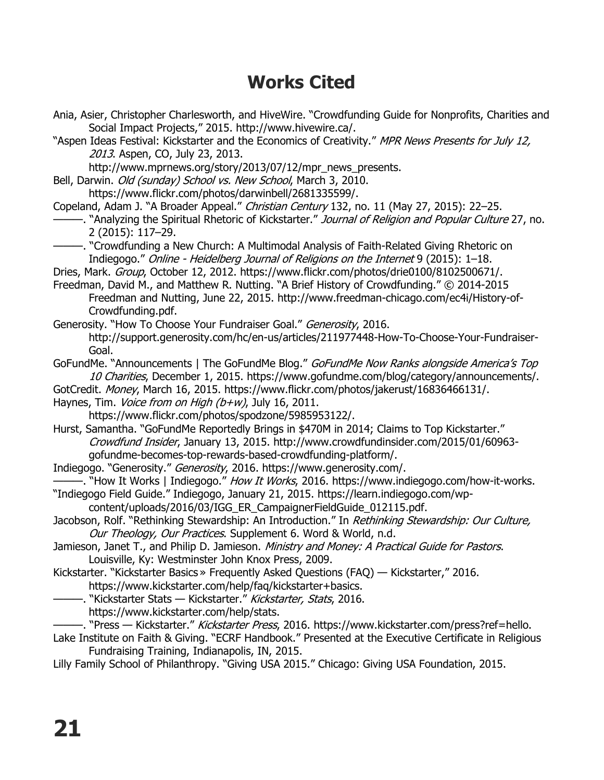#### **Works Cited**

- Ania, Asier, Christopher Charlesworth, and HiveWire. "Crowdfunding Guide for Nonprofits, Charities and Social Impact Projects," 2015. http://www.hivewire.ca/. "Aspen Ideas Festival: Kickstarter and the Economics of Creativity." MPR News Presents for July 12, 2013. Aspen, CO, July 23, 2013. http://www.mprnews.org/story/2013/07/12/mpr\_news\_presents. Bell, Darwin. Old (sunday) School vs. New School, March 3, 2010. https://www.flickr.com/photos/darwinbell/2681335599/. Copeland, Adam J. "A Broader Appeal." Christian Century 132, no. 11 (May 27, 2015): 22-25. ——. "Analyzing the Spiritual Rhetoric of Kickstarter." *Journal of Religion and Popular Culture* 27, no. 2 (2015): 117–29. ———. "Crowdfunding a New Church: A Multimodal Analysis of Faith-Related Giving Rhetoric on Indiegogo." Online - Heidelberg Journal of Religions on the Internet 9 (2015): 1–18. Dries, Mark. Group, October 12, 2012. https://www.flickr.com/photos/drie0100/8102500671/. Freedman, David M., and Matthew R. Nutting. "A Brief History of Crowdfunding." © 2014-2015 Freedman and Nutting, June 22, 2015. http://www.freedman-chicago.com/ec4i/History-of-Crowdfunding.pdf. Generosity. "How To Choose Your Fundraiser Goal." Generosity, 2016. http://support.generosity.com/hc/en-us/articles/211977448-How-To-Choose-Your-Fundraiser-Goal. GoFundMe. "Announcements | The GoFundMe Blog." GoFundMe Now Ranks alongside America's Top 10 Charities, December 1, 2015. https://www.gofundme.com/blog/category/announcements/. GotCredit. Money, March 16, 2015. https://www.flickr.com/photos/jakerust/16836466131/. Haynes, Tim. Voice from on High (b+w), July 16, 2011. https://www.flickr.com/photos/spodzone/5985953122/. Hurst, Samantha. "GoFundMe Reportedly Brings in \$470M in 2014; Claims to Top Kickstarter." Crowdfund Insider, January 13, 2015. http://www.crowdfundinsider.com/2015/01/60963 gofundme-becomes-top-rewards-based-crowdfunding-platform/. Indiegogo. "Generosity." Generosity, 2016. https://www.generosity.com/. –. "How It Works | Indiegogo." *How It Works*, 2016. https://www.indiegogo.com/how-it-works. "Indiegogo Field Guide." Indiegogo, January 21, 2015. https://learn.indiegogo.com/wpcontent/uploads/2016/03/IGG\_ER\_CampaignerFieldGuide\_012115.pdf. Jacobson, Rolf. "Rethinking Stewardship: An Introduction." In Rethinking Stewardship: Our Culture, Our Theology, Our Practices. Supplement 6. Word & World, n.d. Jamieson, Janet T., and Philip D. Jamieson. Ministry and Money: A Practical Guide for Pastors. Louisville, Ky: Westminster John Knox Press, 2009. Kickstarter. "Kickstarter Basics » Frequently Asked Questions (FAQ) — Kickstarter," 2016. https://www.kickstarter.com/help/faq/kickstarter+basics. —. "Kickstarter Stats — Kickstarter." *Kickstarter, Stats*, 2016. https://www.kickstarter.com/help/stats. —. "Press — Kickstarter." *Kickstarter Press*, 2016. https://www.kickstarter.com/press?ref=hello. Lake Institute on Faith & Giving. "ECRF Handbook." Presented at the Executive Certificate in Religious Fundraising Training, Indianapolis, IN, 2015.
- Lilly Family School of Philanthropy. "Giving USA 2015." Chicago: Giving USA Foundation, 2015.